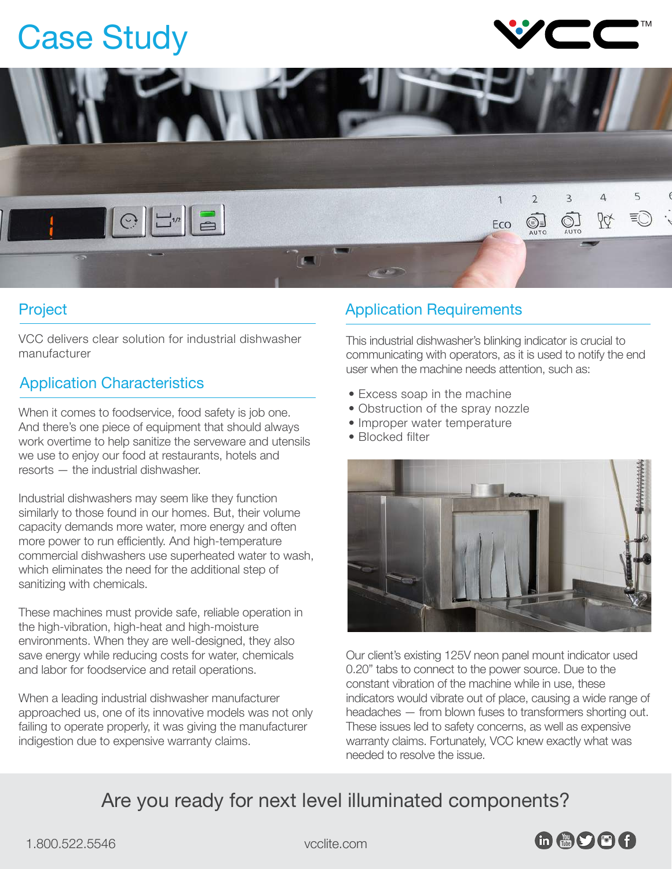# Case Study





### Project

VCC delivers clear solution for industrial dishwasher manufacturer

## Application Characteristics

When it comes to foodservice, food safety is job one. And there's one piece of equipment that should always work overtime to help sanitize the serveware and utensils we use to enjoy our food at restaurants, hotels and resorts — the industrial dishwasher.

Industrial dishwashers may seem like they function similarly to those found in our homes. But, their volume capacity demands more water, more energy and often more power to run efficiently. And high-temperature commercial dishwashers use superheated water to wash, which eliminates the need for the additional step of sanitizing with chemicals.

These machines must provide safe, reliable operation in the high-vibration, high-heat and high-moisture environments. When they are well-designed, they also save energy while reducing costs for water, chemicals and labor for foodservice and retail operations.

When a leading industrial dishwasher manufacturer approached us, one of its innovative models was not only failing to operate properly, it was giving the manufacturer indigestion due to expensive warranty claims.

### Application Requirements

This industrial dishwasher's blinking indicator is crucial to communicating with operators, as it is used to notify the end user when the machine needs attention, such as:

- Excess soap in the machine
- Obstruction of the spray nozzle
- Improper water temperature
- Blocked filter



Our client's existing 125V neon panel mount indicator used 0.20" tabs to connect to the power source. Due to the constant vibration of the machine while in use, these indicators would vibrate out of place, causing a wide range of headaches — from blown fuses to transformers shorting out. These issues led to safety concerns, as well as expensive warranty claims. Fortunately, VCC knew exactly what was needed to resolve the issue.

# Are you ready for next level illuminated components?